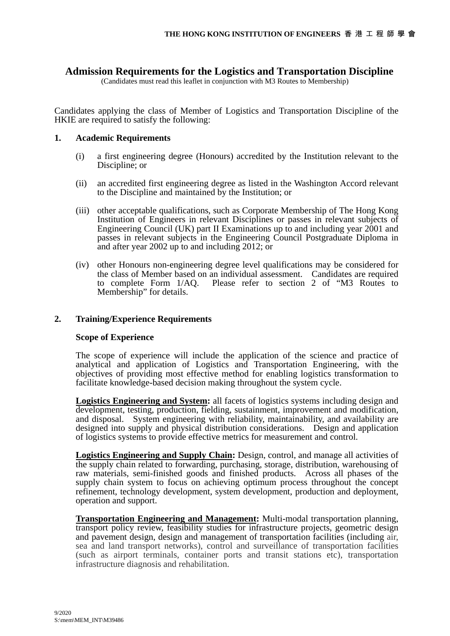# **Admission Requirements for the Logistics and Transportation Discipline**

(Candidates must read this leaflet in conjunction with M3 Routes to Membership)

Candidates applying the class of Member of Logistics and Transportation Discipline of the HKIE are required to satisfy the following:

## **1. Academic Requirements**

- (i) a first engineering degree (Honours) accredited by the Institution relevant to the Discipline; or
- (ii) an accredited first engineering degree as listed in the Washington Accord relevant to the Discipline and maintained by the Institution; or
- (iii) other acceptable qualifications, such as Corporate Membership of The Hong Kong Institution of Engineers in relevant Disciplines or passes in relevant subjects of Engineering Council (UK) part II Examinations up to and including year 2001 and passes in relevant subjects in the Engineering Council Postgraduate Diploma in and after year 2002 up to and including 2012; or
- (iv) other Honours non-engineering degree level qualifications may be considered for the class of Member based on an individual assessment. Candidates are required to complete Form 1/AQ. Please refer to section 2 of "M3 Routes to Membership" for details.

# **2. Training/Experience Requirements**

### **Scope of Experience**

 The scope of experience will include the application of the science and practice of analytical and application of Logistics and Transportation Engineering, with the objectives of providing most effective method for enabling logistics transformation to facilitate knowledge-based decision making throughout the system cycle.

**Logistics Engineering and System:** all facets of logistics systems including design and development, testing, production, fielding, sustainment, improvement and modification, and disposal. System engineering with reliability, maintainability, and availability are designed into supply and physical distribution considerations. Design and application of logistics systems to provide effective metrics for measurement and control.

**Logistics Engineering and Supply Chain:** Design, control, and manage all activities of the supply chain related to forwarding, purchasing, storage, distribution, warehousing of raw materials, semi-finished goods and finished products. Across all phases of the supply chain system to focus on achieving optimum process throughout the concept refinement, technology development, system development, production and deployment, operation and support.

**Transportation Engineering and Management:** Multi-modal transportation planning, transport policy review, feasibility studies for infrastructure projects, geometric design and pavement design, design and management of transportation facilities (including air, sea and land transport networks), control and surveillance of transportation facilities (such as airport terminals, container ports and transit stations etc), transportation infrastructure diagnosis and rehabilitation.